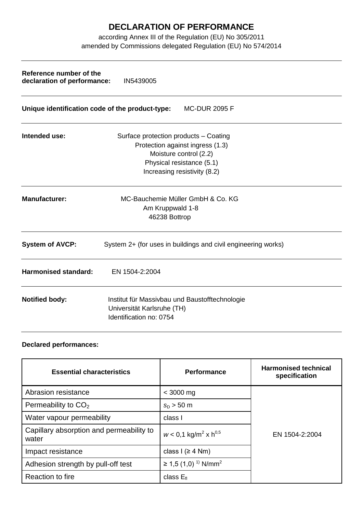## **DECLARATION OF PERFORMANCE**

according Annex III of the Regulation (EU) No 305/2011 amended by Commissions delegated Regulation (EU) No 574/2014

| Reference number of the<br>declaration of performance:                  | IN5439005                                                                                                                                                        |  |  |  |
|-------------------------------------------------------------------------|------------------------------------------------------------------------------------------------------------------------------------------------------------------|--|--|--|
| Unique identification code of the product-type:<br><b>MC-DUR 2095 F</b> |                                                                                                                                                                  |  |  |  |
| Intended use:                                                           | Surface protection products - Coating<br>Protection against ingress (1.3)<br>Moisture control (2.2)<br>Physical resistance (5.1)<br>Increasing resistivity (8.2) |  |  |  |
| <b>Manufacturer:</b>                                                    | MC-Bauchemie Müller GmbH & Co. KG<br>Am Kruppwald 1-8<br>46238 Bottrop                                                                                           |  |  |  |
| <b>System of AVCP:</b>                                                  | System 2+ (for uses in buildings and civil engineering works)                                                                                                    |  |  |  |
| <b>Harmonised standard:</b>                                             | EN 1504-2:2004                                                                                                                                                   |  |  |  |
| <b>Notified body:</b>                                                   | Institut für Massivbau und Baustofftechnologie<br>Universität Karlsruhe (TH)<br>Identification no: 0754                                                          |  |  |  |

## **Declared performances:**

| <b>Essential characteristics</b>                  | <b>Performance</b>                             | <b>Harmonised technical</b><br>specification |
|---------------------------------------------------|------------------------------------------------|----------------------------------------------|
| Abrasion resistance                               | $<$ 3000 mg                                    |                                              |
| Permeability to $CO2$                             | $s_{D} > 50$ m                                 |                                              |
| Water vapour permeability                         | class I                                        |                                              |
| Capillary absorption and permeability to<br>water | $w < 0.1$ kg/m <sup>2</sup> x h <sup>0,5</sup> | EN 1504-2:2004                               |
| Impact resistance                                 | class $I$ ( $\geq$ 4 Nm)                       |                                              |
| Adhesion strength by pull-off test                | ≥ 1,5 (1,0) <sup>1)</sup> N/mm <sup>2</sup>    |                                              |
| Reaction to fire                                  | class $E_{\text{fl}}$                          |                                              |